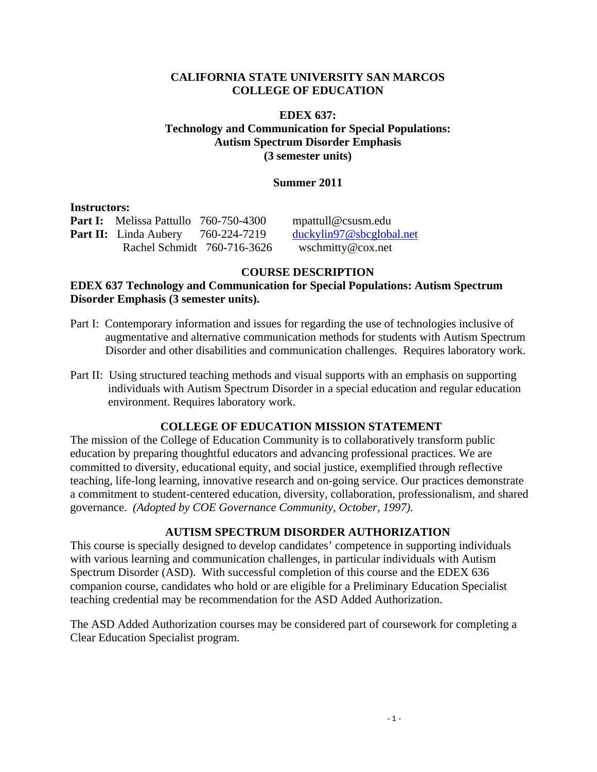### **CALIFORNIA STATE UNIVERSITY SAN MARCOS COLLEGE OF EDUCATION**

### **EDEX 637: Technology and Communication for Special Populations: Autism Spectrum Disorder Emphasis (3 semester units)**

### **Summer 2011**

#### **Instructors:**

**Part II:** Linda Aubery 760-224-7219 Part II: Linda Aubery 760-224-7219 duckylin97@sbcglobal.net Part I: Melissa Pattullo 760-750-4300 mpattull@csusm.edu Rachel Schmidt 760-716-3626 wschmitty@cox.net

# **COURSE DESCRIPTION**

### **Disorder Emphasis (3 semester units). EDEX 637 Technology and Communication for Special Populations: Autism Spectrum**

- augmentative and alternative communication methods for students with Autism Spectrum Part I: Contemporary information and issues for regarding the use of technologies inclusive of Disorder and other disabilities and communication challenges. Requires laboratory work.
- Part II: Using structured teaching methods and visual supports with an emphasis on supporting individuals with Autism Spectrum Disorder in a special education and regular education environment. Requires laboratory work.

## **COLLEGE OF EDUCATION MISSION STATEMENT**

The mission of the College of Education Community is to collaboratively transform public education by preparing thoughtful educators and advancing professional practices. We are committed to diversity, educational equity, and social justice, exemplified through reflective teaching, life-long learning, innovative research and on-going service. Our practices demonstrate a commitment to student-centered education, diversity, collaboration, professionalism, and shared governance. *(Adopted by COE Governance Community, October, 1997).* 

## **AUTISM SPECTRUM DISORDER AUTHORIZATION**

This course is specially designed to develop candidates' competence in supporting individuals with various learning and communication challenges, in particular individuals with Autism Spectrum Disorder (ASD). With successful completion of this course and the EDEX 636 companion course, candidates who hold or are eligible for a Preliminary Education Specialist teaching credential may be recommendation for the ASD Added Authorization.

The ASD Added Authorization courses may be considered part of coursework for completing a Clear Education Specialist program.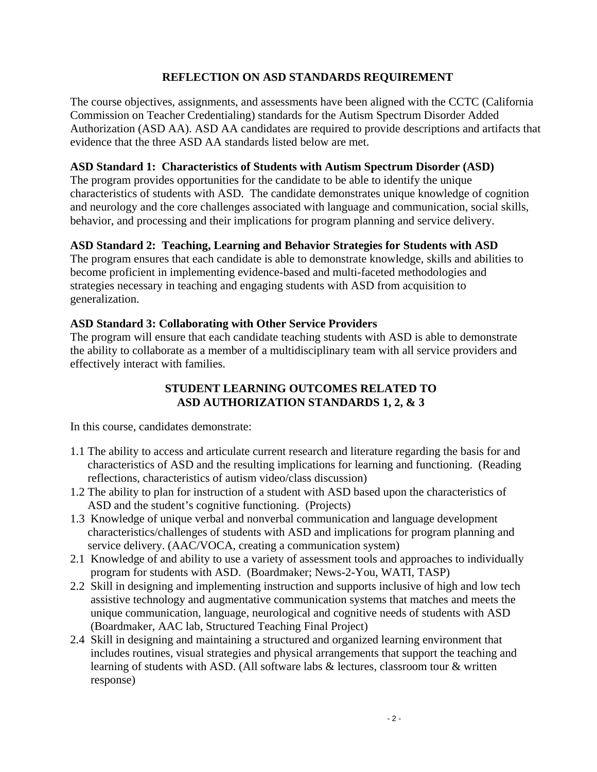### **REFLECTION ON ASD STANDARDS REQUIREMENT**

The course objectives, assignments, and assessments have been aligned with the CCTC (California Commission on Teacher Credentialing) standards for the Autism Spectrum Disorder Added Authorization (ASD AA). ASD AA candidates are required to provide descriptions and artifacts that evidence that the three ASD AA standards listed below are met.

### **ASD Standard 1: Characteristics of Students with Autism Spectrum Disorder (ASD)**

The program provides opportunities for the candidate to be able to identify the unique characteristics of students with ASD. The candidate demonstrates unique knowledge of cognition and neurology and the core challenges associated with language and communication, social skills, behavior, and processing and their implications for program planning and service delivery.

### **ASD Standard 2: Teaching, Learning and Behavior Strategies for Students with ASD**

The program ensures that each candidate is able to demonstrate knowledge, skills and abilities to become proficient in implementing evidence-based and multi-faceted methodologies and strategies necessary in teaching and engaging students with ASD from acquisition to generalization.

### **ASD Standard 3: Collaborating with Other Service Providers**

The program will ensure that each candidate teaching students with ASD is able to demonstrate the ability to collaborate as a member of a multidisciplinary team with all service providers and effectively interact with families.

# **STUDENT LEARNING OUTCOMES RELATED TO ASD AUTHORIZATION STANDARDS 1, 2, & 3**

In this course, candidates demonstrate:

- 1.1 The ability to access and articulate current research and literature regarding the basis for and characteristics of ASD and the resulting implications for learning and functioning. (Reading reflections, characteristics of autism video/class discussion)
- 1.2 The ability to plan for instruction of a student with ASD based upon the characteristics of ASD and the student's cognitive functioning. (Projects)
- 1.3 Knowledge of unique verbal and nonverbal communication and language development characteristics/challenges of students with ASD and implications for program planning and service delivery. (AAC/VOCA, creating a communication system)
- 2.1 Knowledge of and ability to use a variety of assessment tools and approaches to individually program for students with ASD. (Boardmaker; News-2-You, WATI, TASP)
- 2.2 Skill in designing and implementing instruction and supports inclusive of high and low tech assistive technology and augmentative communication systems that matches and meets the unique communication, language, neurological and cognitive needs of students with ASD (Boardmaker, AAC lab, Structured Teaching Final Project)
- 2.4 Skill in designing and maintaining a structured and organized learning environment that includes routines, visual strategies and physical arrangements that support the teaching and learning of students with ASD. (All software labs & lectures, classroom tour & written response)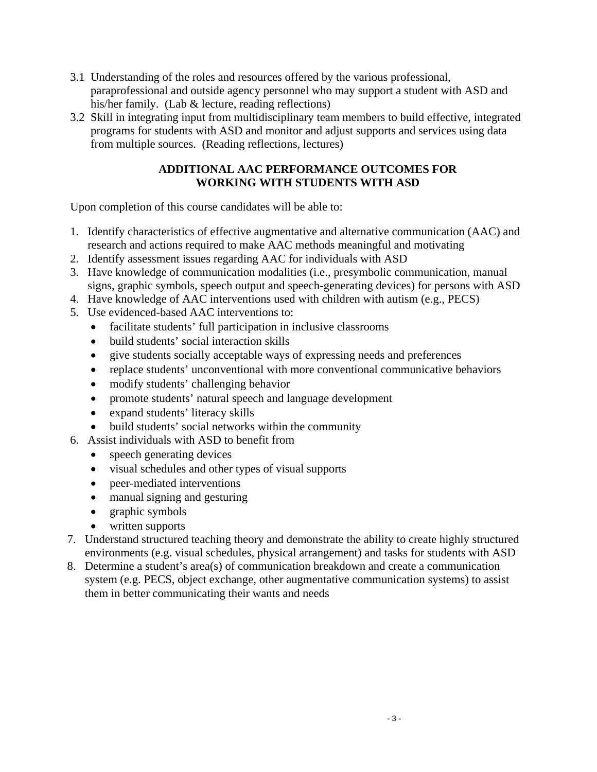- 3.1 Understanding of the roles and resources offered by the various professional, paraprofessional and outside agency personnel who may support a student with ASD and his/her family. (Lab & lecture, reading reflections)
- 3.2 Skill in integrating input from multidisciplinary team members to build effective, integrated programs for students with ASD and monitor and adjust supports and services using data from multiple sources. (Reading reflections, lectures)

# **ADDITIONAL AAC PERFORMANCE OUTCOMES FOR WORKING WITH STUDENTS WITH ASD**

Upon completion of this course candidates will be able to:

- 1. Identify characteristics of effective augmentative and alternative communication (AAC) and research and actions required to make AAC methods meaningful and motivating
- 2. Identify assessment issues regarding AAC for individuals with ASD
- 3. Have knowledge of communication modalities (i.e., presymbolic communication, manual signs, graphic symbols, speech output and speech-generating devices) for persons with ASD
- 4. Have knowledge of AAC interventions used with children with autism (e.g., PECS)
- 5. Use evidenced-based AAC interventions to:
	- facilitate students' full participation in inclusive classrooms
	- build students' social interaction skills
	- give students socially acceptable ways of expressing needs and preferences
	- replace students' unconventional with more conventional communicative behaviors
	- modify students' challenging behavior
	- promote students' natural speech and language development
	- expand students' literacy skills
	- build students' social networks within the community
- 6. Assist individuals with ASD to benefit from
	- speech generating devices
	- visual schedules and other types of visual supports
	- peer-mediated interventions
	- manual signing and gesturing
	- graphic symbols
	- written supports
- 7. Understand structured teaching theory and demonstrate the ability to create highly structured environments (e.g. visual schedules, physical arrangement) and tasks for students with ASD
- 8. Determine a student's area(s) of communication breakdown and create a communication system (e.g. PECS, object exchange, other augmentative communication systems) to assist them in better communicating their wants and needs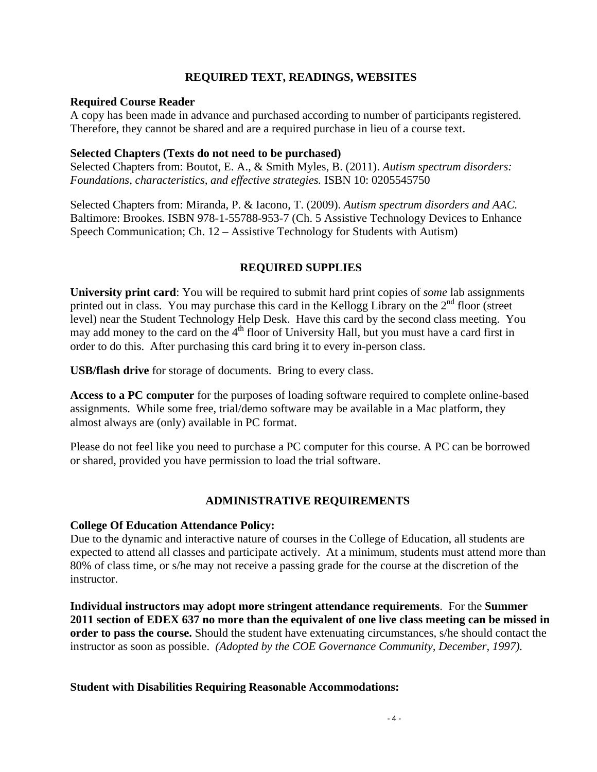### **REQUIRED TEXT, READINGS, WEBSITES**

#### **Required Course Reader**

A copy has been made in advance and purchased according to number of participants registered. Therefore, they cannot be shared and are a required purchase in lieu of a course text.

#### **Selected Chapters (Texts do not need to be purchased)**

Selected Chapters from: Boutot, E. A., & Smith Myles, B. (2011). *Autism spectrum disorders: Foundations, characteristics, and effective strategies.* ISBN 10: 0205545750

Selected Chapters from: Miranda, P. & Iacono, T. (2009). *Autism spectrum disorders and AAC.*  Baltimore: Brookes. ISBN 978-1-55788-953-7 (Ch. 5 Assistive Technology Devices to Enhance Speech Communication; Ch. 12 – Assistive Technology for Students with Autism)

## **REQUIRED SUPPLIES**

**University print card**: You will be required to submit hard print copies of *some* lab assignments printed out in class. You may purchase this card in the Kellogg Library on the  $2<sup>nd</sup>$  floor (street level) near the Student Technology Help Desk. Have this card by the second class meeting. You may add money to the card on the  $4<sup>th</sup>$  floor of University Hall, but you must have a card first in order to do this. After purchasing this card bring it to every in-person class.

**USB/flash drive** for storage of documents. Bring to every class.

**Access to a PC computer** for the purposes of loading software required to complete online-based assignments. While some free, trial/demo software may be available in a Mac platform, they almost always are (only) available in PC format.

Please do not feel like you need to purchase a PC computer for this course. A PC can be borrowed or shared, provided you have permission to load the trial software.

#### **ADMINISTRATIVE REQUIREMENTS**

#### **College Of Education Attendance Policy:**

Due to the dynamic and interactive nature of courses in the College of Education, all students are expected to attend all classes and participate actively. At a minimum, students must attend more than 80% of class time, or s/he may not receive a passing grade for the course at the discretion of the instructor.

 instructor as soon as possible. *(Adopted by the COE Governance Community, December, 1997).* **Individual instructors may adopt more stringent attendance requirements**. For the **Summer 2011 section of EDEX 637 no more than the equivalent of one live class meeting can be missed in order to pass the course.** Should the student have extenuating circumstances, s/he should contact the

#### **Student with Disabilities Requiring Reasonable Accommodations:**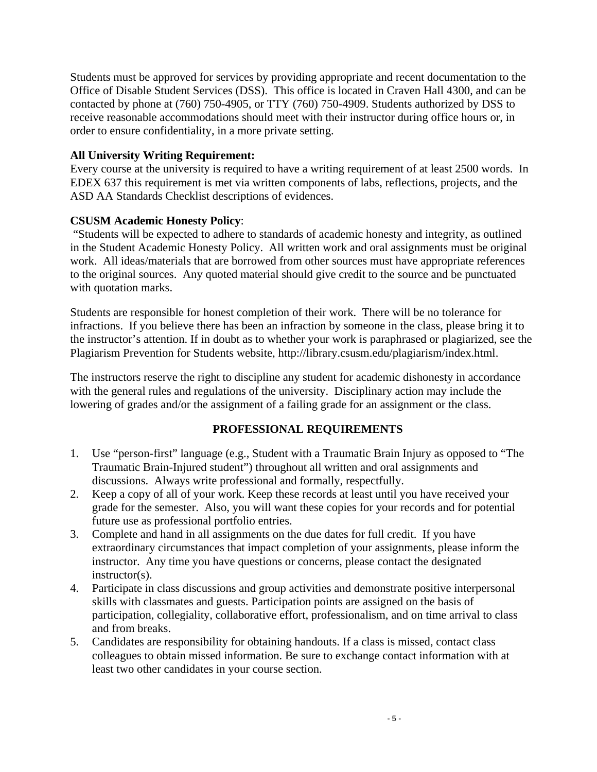Students must be approved for services by providing appropriate and recent documentation to the Office of Disable Student Services (DSS). This office is located in Craven Hall 4300, and can be contacted by phone at (760) 750-4905, or TTY (760) 750-4909. Students authorized by DSS to receive reasonable accommodations should meet with their instructor during office hours or, in order to ensure confidentiality, in a more private setting.

# **All University Writing Requirement:**

Every course at the university is required to have a writing requirement of at least 2500 words. In EDEX 637 this requirement is met via written components of labs, reflections, projects, and the ASD AA Standards Checklist descriptions of evidences.

# **CSUSM Academic Honesty Policy**:

 "Students will be expected to adhere to standards of academic honesty and integrity, as outlined in the Student Academic Honesty Policy. All written work and oral assignments must be original work. All ideas/materials that are borrowed from other sources must have appropriate references to the original sources. Any quoted material should give credit to the source and be punctuated with quotation marks.

Students are responsible for honest completion of their work. There will be no tolerance for infractions. If you believe there has been an infraction by someone in the class, please bring it to the instructor's attention. If in doubt as to whether your work is paraphrased or plagiarized, see the Plagiarism Prevention for Students website, http://library.csusm.edu/plagiarism/index.html.

The instructors reserve the right to discipline any student for academic dishonesty in accordance with the general rules and regulations of the university. Disciplinary action may include the lowering of grades and/or the assignment of a failing grade for an assignment or the class.

# **PROFESSIONAL REQUIREMENTS**

- 1. Use "person-first" language (e.g., Student with a Traumatic Brain Injury as opposed to "The Traumatic Brain-Injured student") throughout all written and oral assignments and discussions. Always write professional and formally, respectfully.
- 2. Keep a copy of all of your work. Keep these records at least until you have received your grade for the semester. Also, you will want these copies for your records and for potential future use as professional portfolio entries.
- 3. Complete and hand in all assignments on the due dates for full credit. If you have extraordinary circumstances that impact completion of your assignments, please inform the instructor. Any time you have questions or concerns, please contact the designated instructor(s).
- 4. Participate in class discussions and group activities and demonstrate positive interpersonal skills with classmates and guests. Participation points are assigned on the basis of participation, collegiality, collaborative effort, professionalism, and on time arrival to class and from breaks.
- 5. Candidates are responsibility for obtaining handouts. If a class is missed, contact class colleagues to obtain missed information. Be sure to exchange contact information with at least two other candidates in your course section.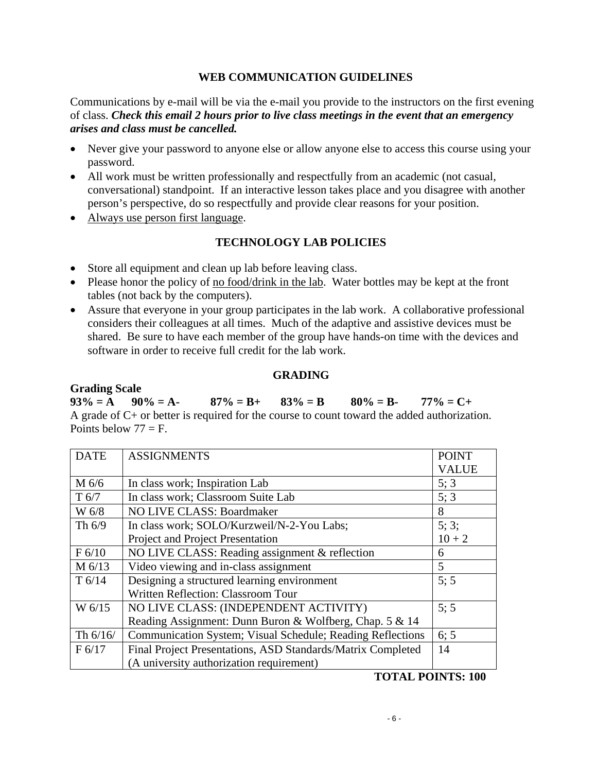### **WEB COMMUNICATION GUIDELINES**

 *arises and class must be cancelled.* Communications by e-mail will be via the e-mail you provide to the instructors on the first evening of class. *Check this email 2 hours prior to live class meetings in the event that an emergency* 

- Never give your password to anyone else or allow anyone else to access this course using your password.
- All work must be written professionally and respectfully from an academic (not casual, conversational) standpoint. If an interactive lesson takes place and you disagree with another person's perspective, do so respectfully and provide clear reasons for your position.
- Always use person first language.

# **TECHNOLOGY LAB POLICIES**

- Store all equipment and clean up lab before leaving class.
- Please honor the policy of no food/drink in the lab. Water bottles may be kept at the front tables (not back by the computers).
- Assure that everyone in your group participates in the lab work. A collaborative professional considers their colleagues at all times. Much of the adaptive and assistive devices must be shared. Be sure to have each member of the group have hands-on time with the devices and software in order to receive full credit for the lab work.

### **GRADING**

#### **Grading Scale**

 $93\% = A$   $90\% = A$ -  $87\% = B$ +  $83\% = B$   $80\% = B$ -  $77\% = C+$ A grade of C+ or better is required for the course to count toward the added authorization. Points below  $77 = F$ .

| <b>DATE</b>       | <b>ASSIGNMENTS</b>                                          | <b>POINT</b> |
|-------------------|-------------------------------------------------------------|--------------|
|                   |                                                             | <b>VALUE</b> |
| $M\ 6/6$          | In class work; Inspiration Lab                              | 5; 3         |
| T <sub>6/7</sub>  | In class work; Classroom Suite Lab                          | 5; 3         |
| W 6/8             | NO LIVE CLASS: Boardmaker                                   | 8            |
| Th $6/9$          | In class work; SOLO/Kurzweil/N-2-You Labs;                  | 5:3;         |
|                   | Project and Project Presentation                            | $10 + 2$     |
| F 6/10            | NO LIVE CLASS: Reading assignment & reflection              | 6            |
| $M$ 6/13          | Video viewing and in-class assignment                       | 5            |
| T <sub>6/14</sub> | Designing a structured learning environment                 | 5:5          |
|                   | Written Reflection: Classroom Tour                          |              |
| W $6/15$          | NO LIVE CLASS: (INDEPENDENT ACTIVITY)                       | 5:5          |
|                   | Reading Assignment: Dunn Buron & Wolfberg, Chap. 5 & 14     |              |
| Th $6/16/$        | Communication System; Visual Schedule; Reading Reflections  | 6:5          |
| F 6/17            | Final Project Presentations, ASD Standards/Matrix Completed | 14           |
|                   | (A university authorization requirement)                    |              |

#### **TOTAL POINTS: 100**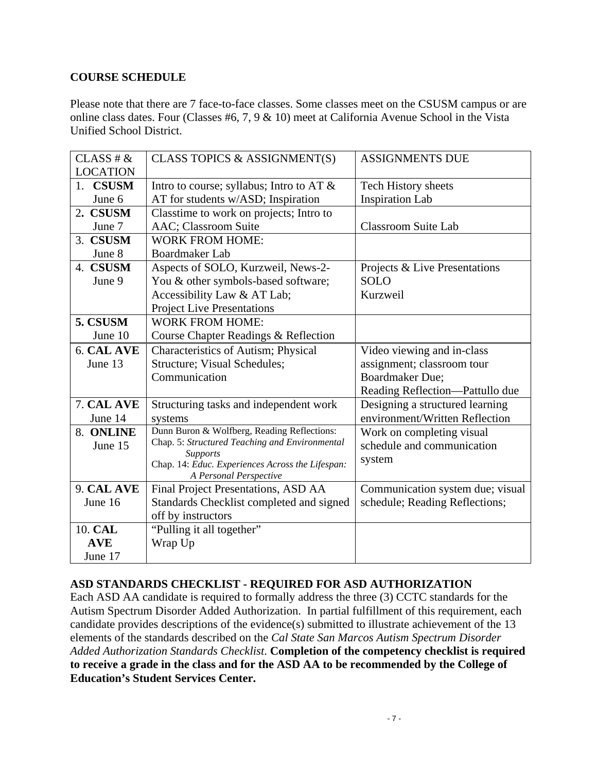# **COURSE SCHEDULE**

Please note that there are 7 face-to-face classes. Some classes meet on the CSUSM campus or are online class dates. Four (Classes #6, 7, 9 & 10) meet at California Avenue School in the Vista Unified School District.

| CLASS # &       | CLASS TOPICS & ASSIGNMENT(S)                                               | <b>ASSIGNMENTS DUE</b>           |
|-----------------|----------------------------------------------------------------------------|----------------------------------|
| <b>LOCATION</b> |                                                                            |                                  |
| 1. CSUSM        | Intro to course; syllabus; Intro to AT &                                   | <b>Tech History sheets</b>       |
| June 6          | AT for students w/ASD; Inspiration                                         | <b>Inspiration Lab</b>           |
| 2. CSUSM        | Classtime to work on projects; Intro to                                    |                                  |
| June 7          | AAC; Classroom Suite                                                       | <b>Classroom Suite Lab</b>       |
| 3. CSUSM        | <b>WORK FROM HOME:</b>                                                     |                                  |
| June 8          | <b>Boardmaker Lab</b>                                                      |                                  |
| 4. CSUSM        | Aspects of SOLO, Kurzweil, News-2-                                         | Projects & Live Presentations    |
| June 9          | You & other symbols-based software;                                        | <b>SOLO</b>                      |
|                 | Accessibility Law & AT Lab;                                                | Kurzweil                         |
|                 | <b>Project Live Presentations</b>                                          |                                  |
| 5. CSUSM        | <b>WORK FROM HOME:</b>                                                     |                                  |
| June 10         | Course Chapter Readings & Reflection                                       |                                  |
| 6. CAL AVE      | Characteristics of Autism; Physical                                        | Video viewing and in-class       |
| June 13         | Structure; Visual Schedules;                                               | assignment; classroom tour       |
|                 | Communication                                                              | <b>Boardmaker Due;</b>           |
|                 |                                                                            | Reading Reflection-Pattullo due  |
| 7. CAL AVE      | Structuring tasks and independent work                                     | Designing a structured learning  |
| June 14         | systems                                                                    | environment/Written Reflection   |
| 8. ONLINE       | Dunn Buron & Wolfberg, Reading Reflections:                                | Work on completing visual        |
| June 15         | Chap. 5: Structured Teaching and Environmental                             | schedule and communication       |
|                 | <b>Supports</b>                                                            | system                           |
|                 | Chap. 14: Educ. Experiences Across the Lifespan:<br>A Personal Perspective |                                  |
| 9. CAL AVE      | Final Project Presentations, ASD AA                                        | Communication system due; visual |
| June 16         | Standards Checklist completed and signed                                   | schedule; Reading Reflections;   |
|                 | off by instructors                                                         |                                  |
| 10. CAL         | "Pulling it all together"                                                  |                                  |
| <b>AVE</b>      | Wrap Up                                                                    |                                  |
| June 17         |                                                                            |                                  |

## **ASD STANDARDS CHECKLIST - REQUIRED FOR ASD AUTHORIZATION**

Each ASD AA candidate is required to formally address the three (3) CCTC standards for the Autism Spectrum Disorder Added Authorization. In partial fulfillment of this requirement, each candidate provides descriptions of the evidence(s) submitted to illustrate achievement of the 13 elements of the standards described on the *Cal State San Marcos Autism Spectrum Disorder Added Authorization Standards Checklist*. **Completion of the competency checklist is required to receive a grade in the class and for the ASD AA to be recommended by the College of Education's Student Services Center.**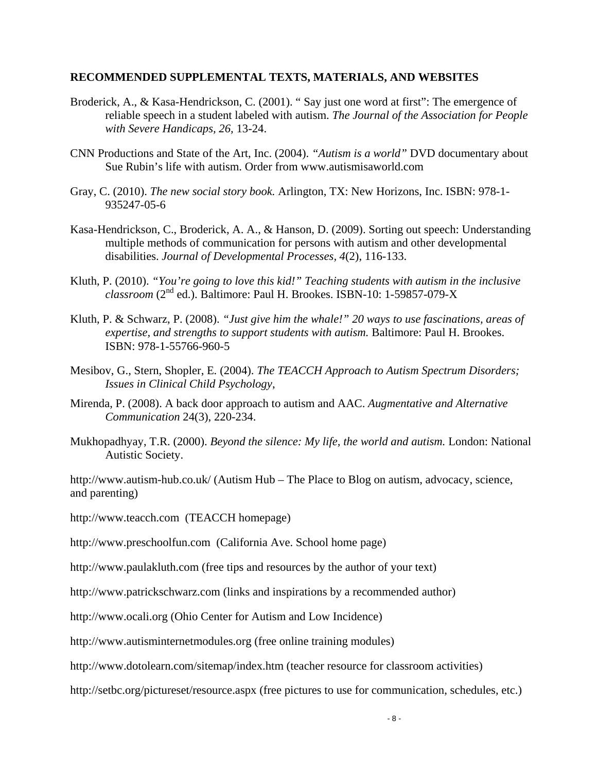#### **RECOMMENDED SUPPLEMENTAL TEXTS, MATERIALS, AND WEBSITES**

- Broderick, A., & Kasa-Hendrickson, C. (2001). " Say just one word at first": The emergence of reliable speech in a student labeled with autism. *The Journal of the Association for People with Severe Handicaps, 26,* 13-24.
- CNN Productions and State of the Art, Inc. (2004). *"Autism is a world"* DVD documentary about Sue Rubin's life with autism. Order from www.autismisaworld.com
- Gray, C. (2010). *The new social story book.* Arlington, TX: New Horizons, Inc. ISBN: 978-1- 935247-05-6
- Kasa-Hendrickson, C., Broderick, A. A., & Hanson, D. (2009). Sorting out speech: Understanding multiple methods of communication for persons with autism and other developmental disabilities. *Journal of Developmental Processes, 4*(2), 116-133.
- Kluth, P. (2010). *"You're going to love this kid!" Teaching students with autism in the inclusive classroom* (2nd ed.). Baltimore: Paul H. Brookes. ISBN-10: 1-59857-079-X
- Kluth, P. & Schwarz, P. (2008). *"Just give him the whale!" 20 ways to use fascinations, areas of expertise, and strengths to support students with autism.* Baltimore: Paul H. Brookes. ISBN: 978-1-55766-960-5
- Mesibov, G., Stern, Shopler, E*.* (2004). *The TEACCH Approach to Autism Spectrum Disorders; Issues in Clinical Child Psychology*,
- Mirenda, P. (2008). A back door approach to autism and AAC. *Augmentative and Alternative Communication* 24(3), 220-234.
- Mukhopadhyay, T.R. (2000). *Beyond the silence: My life, the world and autism.* London: National Autistic Society.

http://www.autism-hub.co.uk/ (Autism Hub – The Place to Blog on autism, advocacy, science, and parenting)

http://www.teacch.com (TEACCH homepage)

http://www.preschoolfun.com (California Ave. School home page)

http://www.paulakluth.com (free tips and resources by the author of your text)

http://www.patrickschwarz.com (links and inspirations by a recommended author)

http://www.ocali.org (Ohio Center for Autism and Low Incidence)

http://www.autisminternetmodules.org (free online training modules)

http://www.dotolearn.com/sitemap/index.htm (teacher resource for classroom activities)

http://setbc.org/pictureset/resource.aspx (free pictures to use for communication, schedules, etc.)